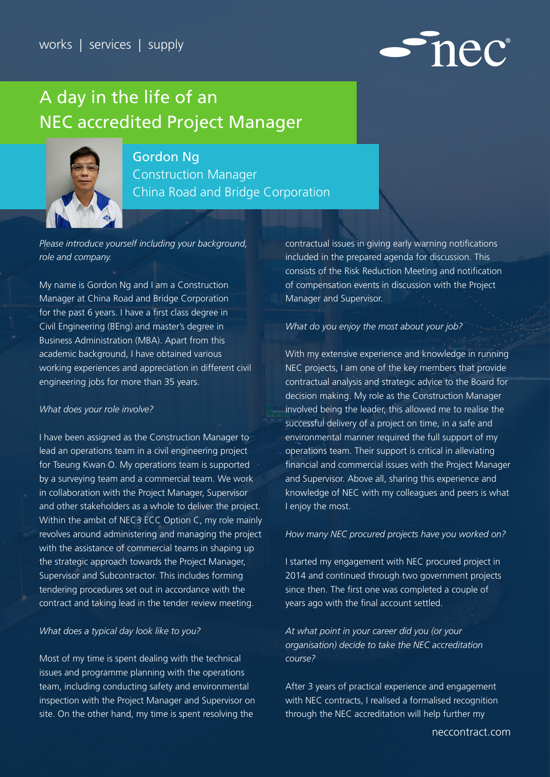

# A day in the life of an NEC accredited Project Manager



# Gordon Ng

Construction Manager China Road and Bridge Corporation

*Please introduce yourself including your background, role and company.*

My name is Gordon Ng and I am a Construction Manager at China Road and Bridge Corporation for the past 6 years. I have a first class degree in Civil Engineering (BEng) and master's degree in Business Administration (MBA). Apart from this academic background, I have obtained various working experiences and appreciation in different civil engineering jobs for more than 35 years.

#### *What does your role involve?*

I have been assigned as the Construction Manager to lead an operations team in a civil engineering project for Tseung Kwan O. My operations team is supported by a surveying team and a commercial team. We work in collaboration with the Project Manager, Supervisor and other stakeholders as a whole to deliver the project. Within the ambit of NEC3 ECC Option C, my role mainly revolves around administering and managing the project with the assistance of commercial teams in shaping up the strategic approach towards the Project Manager, Supervisor and Subcontractor. This includes forming tendering procedures set out in accordance with the contract and taking lead in the tender review meeting.

## *What does a typical day look like to you?*

Most of my time is spent dealing with the technical issues and programme planning with the operations team, including conducting safety and environmental inspection with the Project Manager and Supervisor on site. On the other hand, my time is spent resolving the

contractual issues in giving early warning notifications included in the prepared agenda for discussion. This consists of the Risk Reduction Meeting and notification of compensation events in discussion with the Project Manager and Supervisor.

## *What do you enjoy the most about your job?*

With my extensive experience and knowledge in running NEC projects, I am one of the key members that provide contractual analysis and strategic advice to the Board for decision making. My role as the Construction Manager involved being the leader, this allowed me to realise the successful delivery of a project on time, in a safe and environmental manner required the full support of my operations team. Their support is critical in alleviating financial and commercial issues with the Project Manager and Supervisor. Above all, sharing this experience and knowledge of NEC with my colleagues and peers is what I enjoy the most.

#### *How many NEC procured projects have you worked on?*

I started my engagement with NEC procured project in 2014 and continued through two government projects since then. The first one was completed a couple of years ago with the final account settled.

*At what point in your career did you (or your organisation) decide to take the NEC accreditation course?*

After 3 years of practical experience and engagement with NEC contracts, I realised a formalised recognition through the NEC accreditation will help further my